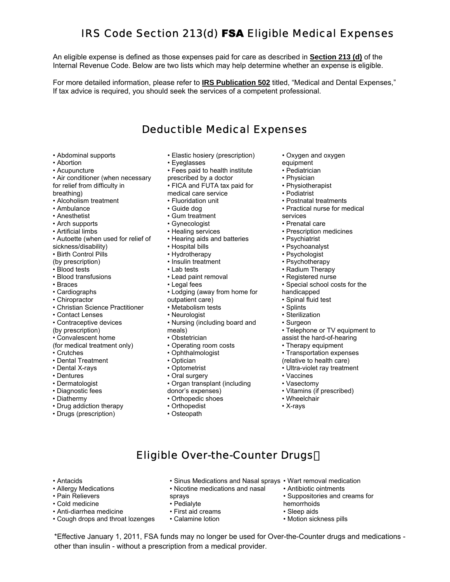# IRS Code Section 213(d) FSA Eligible Medical Expenses

An eligible expense is defined as those expenses paid for care as described in **Section 213 (d)** of the Internal Revenue Code. Below are two lists which may help determine whether an expense is eligible.

For more detailed information, please refer to **IRS Publication 502** titled, "Medical and Dental Expenses," If tax advice is required, you should seek the services of a competent professional.

#### Deductible Medical Expenses

- 
- 
- 
- Air conditioner (when necessary brescribed by a doctor **•** Physician
- 
- Alcoholism treatment Fluoridation unit Postnatal treatments
- 
- 
- Arch supports Gynecologist<br>• Artificial limbs Prealing services
- 
- Autoette (when used for relief of Hearing aids and batteries Psychiatrist<br>sickness/disability) Hospital bills Psychoanalyst
- sickness/disability) Hospital bills Psychoanalyst
- Birth Control Pills Hydrotherapy Psychologist
- 
- 
- 
- 
- 
- 
- Christian Science Practitioner Metabolism tests Splints Splints<br>• Contact Lenses Neurologist Sterilization
- 
- 
- 
- Convalescent home Obstetrician assist the hard-of-hearing
- (for medical treatment only)
- 
- 
- Dental X-rays • Optometrist • Ultra-violet ray treatment Oral surgery • Vaccines
- 
- 
- 
- 
- Diathermy Orthopedic shoes Wheelchair • Drug addiction therapy • Orthopedis<br>• Drugs (prescription) • Osteopath
- Drugs (prescription)
- Abdominal supports Elastic hosiery (prescription) Oxygen and oxygen
- Abortion Eyeglasses equipment
- Acupuncture Fees paid to health institute Pediatrician
	-
- for relief from difficulty in FICA and FUTA tax paid for Physiotherapist<br>breathing) Podiatrist medical care service Podiatrist
- breathing) medical care service
	-
	-
- Anesthetist Gum treatment services
	-
	-
	-
	-
	-
	- Insulin treatment
	-
- Blood tests Lab tests Radium Therapy • Blood transfusions • Lead paint removal
	-
- Braces Increases Legal fees • Legal fees • Special school costs for the Special school costs for the Cardiographs • Cardiographs • Lodging (away from home for handicapped
	-
	- outpatient care) Spinal fluid test<br>• Metabolism tests<br>• Splints
	-
- Contraceptive devices Nursing (including board and Surgeon • Contact Lenses • **• Neurologist** • **Sterilization** • Sterilization • Sterilization • Sterilization • Surgeon • Surgeon
	-
	-
	-
	-
	-
	-
- Dentures Cral surgery Oral surgery Vaccines Vaccines Vaccines Vaccines Vasectomy Vasectomy Vasectomy Vasectomy Vasectomy Vasectomy Vasectomy Vasectomy Vasectomy Vasectomy Vasectomy Vas • Organ transplant (including

• Antacids • Sinus Medications and Nasal sprays • Wart removal medication

Eligible Over-the-Counter Drugs

\*Effective January 1, 2011, FSA funds may no longer be used for Over-the-Counter drugs and medications -

- Diagnostic fees donor's expenses) Vitamins (if prescribed)
	-
	-
	-

• Allergy Medications • Nicotine medications and nasal

other than insulin - without a prescription from a medical provider.

• Pain Relievers sprays

• Cough drops and throat lozenges

• Cold medicine • Pedialyte<br>• Anti-diarrhea medicine • • First aid creams • Anti-diarrhea medicine • First aid creams<br>• Cough drops and throat lozenges • Calamine lotion

- 
- 
- 
- 
- 
- 
- 
- Ambulance Guide dog • Practical nurse for medical
	-
	-
	- Prescription medicines
	-
	-
	-
	-
	-
	-
	-
	-
	-
	-
	-
	-
- (by prescription) meals) meals (by prescription) with the meals of the meals of the mean of TV equipment to  $\cdot$  Convalescent home  $\cdot$  Obstetrician assist the hard-of-hearing
	-
	-
- Crutches Ophthalmologist Transportation expenses
- Dental Treatment Optician (relative to health care)

• Antibiotic ointments

• Sleep aids<br>• Motion sickness pills

hemorrhoids

• Suppositories and creams for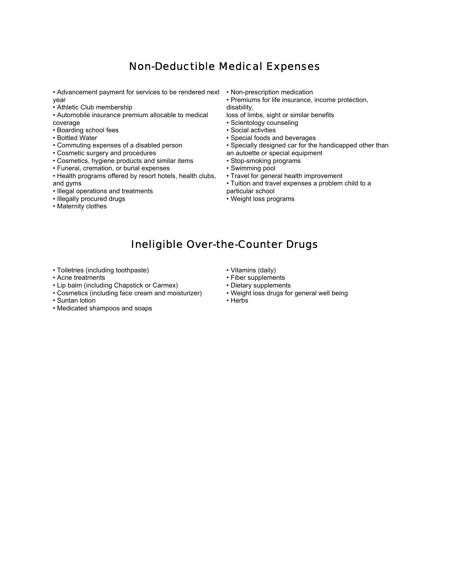#### Non-Deductible Medical Expenses

• Advancement payment for services to be rendered next • Non-prescription medication year

- Athletic Club membership
- • Automobile insurance premium allocable to medical coverage
- Boarding school fees
- Bottled Water
- Commuting expenses of a disabled person
- Cosmetic surgery and procedures
- Cosmetics, hygiene products and similar items
- Funeral, cremation, or burial expenses
- Health programs offered by resort hotels, health clubs, and gyms
- Illegal operations and treatments
- Illegally procured drugs
- Maternity clothes
- 
- Premiums for life insurance, income protection,
- disability,
- loss of limbs, sight or similar benefits • Scientology counseling
- 
- Social activities
- Special foods and beverages
- Specially designed car for the handicapped other than
- an autoette or special equipment
- Stop-smoking programs
- Swimming pool
- Travel for general health improvement
- Tuition and travel expenses a problem child to a particular school
- Weight loss programs

#### Ineligible Over-the-Counter Drugs

- Toiletries (including toothpaste) Vitamins (daily) Vitamins (daily) Acne treatments
- 
- 
- Lip balm (including Chapstick or Carmex) Dietary supplements<br>• Cosmetics (including face cream and moisturizer) Weight loss drugs for general well being • Cosmetics (including face cream and moisturizer)
- Suntan lotion **Figure 1**
- Medicated shampoos and soaps
- 
- Fiber supplements<br>• Dietary supplements
- 
- 
-